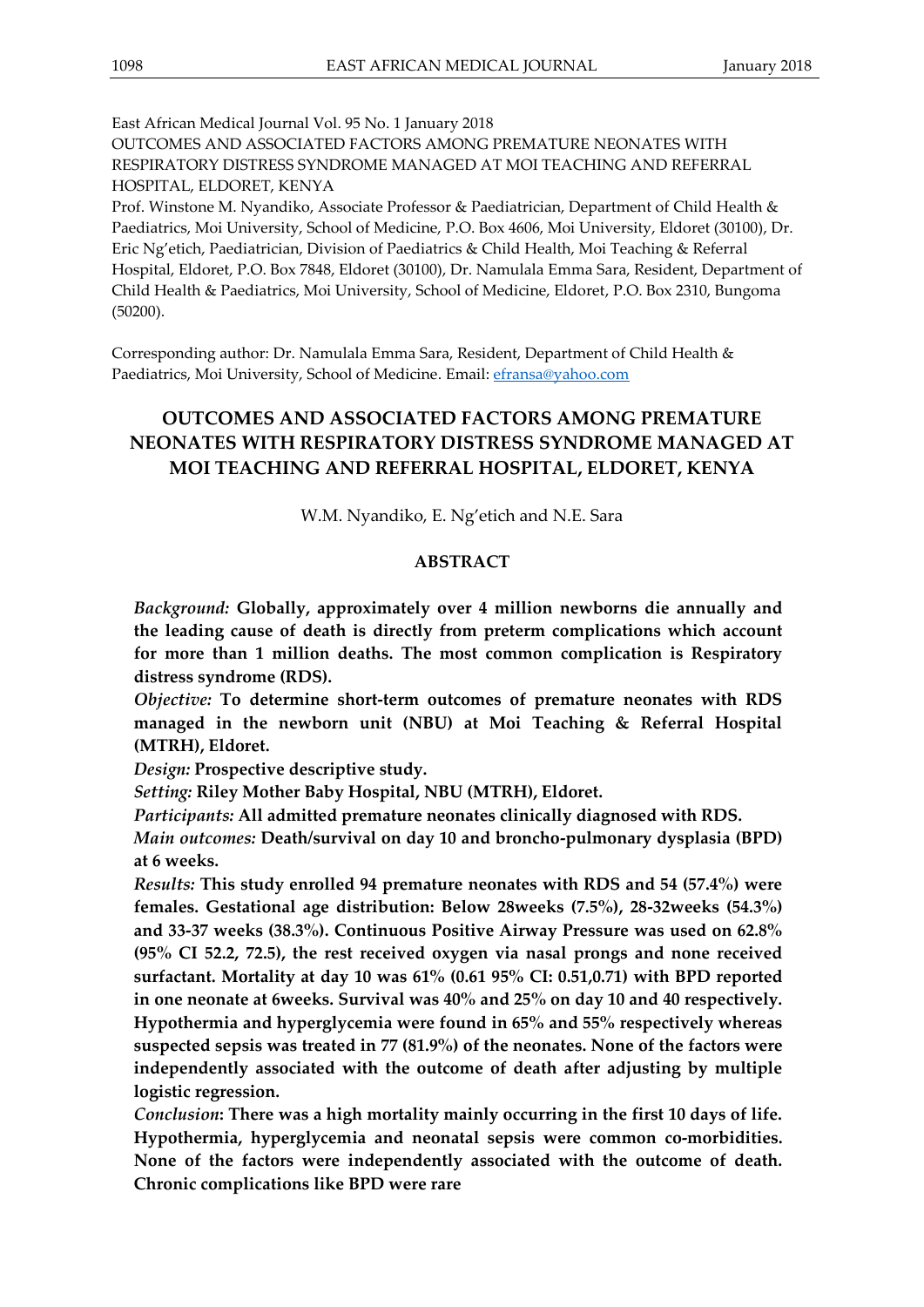East African Medical Journal Vol. 95 No. 1 January 2018

OUTCOMES AND ASSOCIATED FACTORS AMONG PREMATURE NEONATES WITH RESPIRATORY DISTRESS SYNDROME MANAGED AT MOI TEACHING AND REFERRAL HOSPITAL, ELDORET, KENYA

Prof. Winstone M. Nyandiko, Associate Professor & Paediatrician, Department of Child Health & Paediatrics, Moi University, School of Medicine, P.O. Box 4606, Moi University, Eldoret (30100), Dr. Eric Ng'etich, Paediatrician, Division of Paediatrics & Child Health, Moi Teaching & Referral Hospital, Eldoret, P.O. Box 7848, Eldoret (30100), Dr. Namulala Emma Sara, Resident, Department of Child Health & Paediatrics, Moi University, School of Medicine, Eldoret, P.O. Box 2310, Bungoma (50200).

Corresponding author: Dr. Namulala Emma Sara, Resident, Department of Child Health & Paediatrics, Moi University, School of Medicine. Email: [efransa@yahoo.com](mailto:efransa@yahoo.com)

# **OUTCOMES AND ASSOCIATED FACTORS AMONG PREMATURE NEONATES WITH RESPIRATORY DISTRESS SYNDROME MANAGED AT MOI TEACHING AND REFERRAL HOSPITAL, ELDORET, KENYA**

W.M. Nyandiko, E. Ng'etich and N.E. Sara

#### **ABSTRACT**

*Background:* **Globally, approximately over 4 million newborns die annually and the leading cause of death is directly from preterm complications which account for more than 1 million deaths. The most common complication is Respiratory distress syndrome (RDS).**

*Objective:* **To determine short-term outcomes of premature neonates with RDS managed in the newborn unit (NBU) at Moi Teaching & Referral Hospital (MTRH), Eldoret.**

*Design:* **Prospective descriptive study.**

*Setting:* **Riley Mother Baby Hospital, NBU (MTRH), Eldoret.**

*Participants:* **All admitted premature neonates clinically diagnosed with RDS.**

*Main outcomes:* **Death/survival on day 10 and broncho-pulmonary dysplasia (BPD) at 6 weeks.** 

*Results:* **This study enrolled 94 premature neonates with RDS and 54 (57.4%) were females. Gestational age distribution: Below 28weeks (7.5%), 28-32weeks (54.3%) and 33-37 weeks (38.3%). Continuous Positive Airway Pressure was used on 62.8% (95% CI 52.2, 72.5), the rest received oxygen via nasal prongs and none received surfactant. Mortality at day 10 was 61% (0.61 95% CI: 0.51,0.71) with BPD reported in one neonate at 6weeks. Survival was 40% and 25% on day 10 and 40 respectively. Hypothermia and hyperglycemia were found in 65% and 55% respectively whereas suspected sepsis was treated in 77 (81.9%) of the neonates. None of the factors were independently associated with the outcome of death after adjusting by multiple logistic regression.**

*Conclusion***: There was a high mortality mainly occurring in the first 10 days of life. Hypothermia, hyperglycemia and neonatal sepsis were common co-morbidities. None of the factors were independently associated with the outcome of death. Chronic complications like BPD were rare**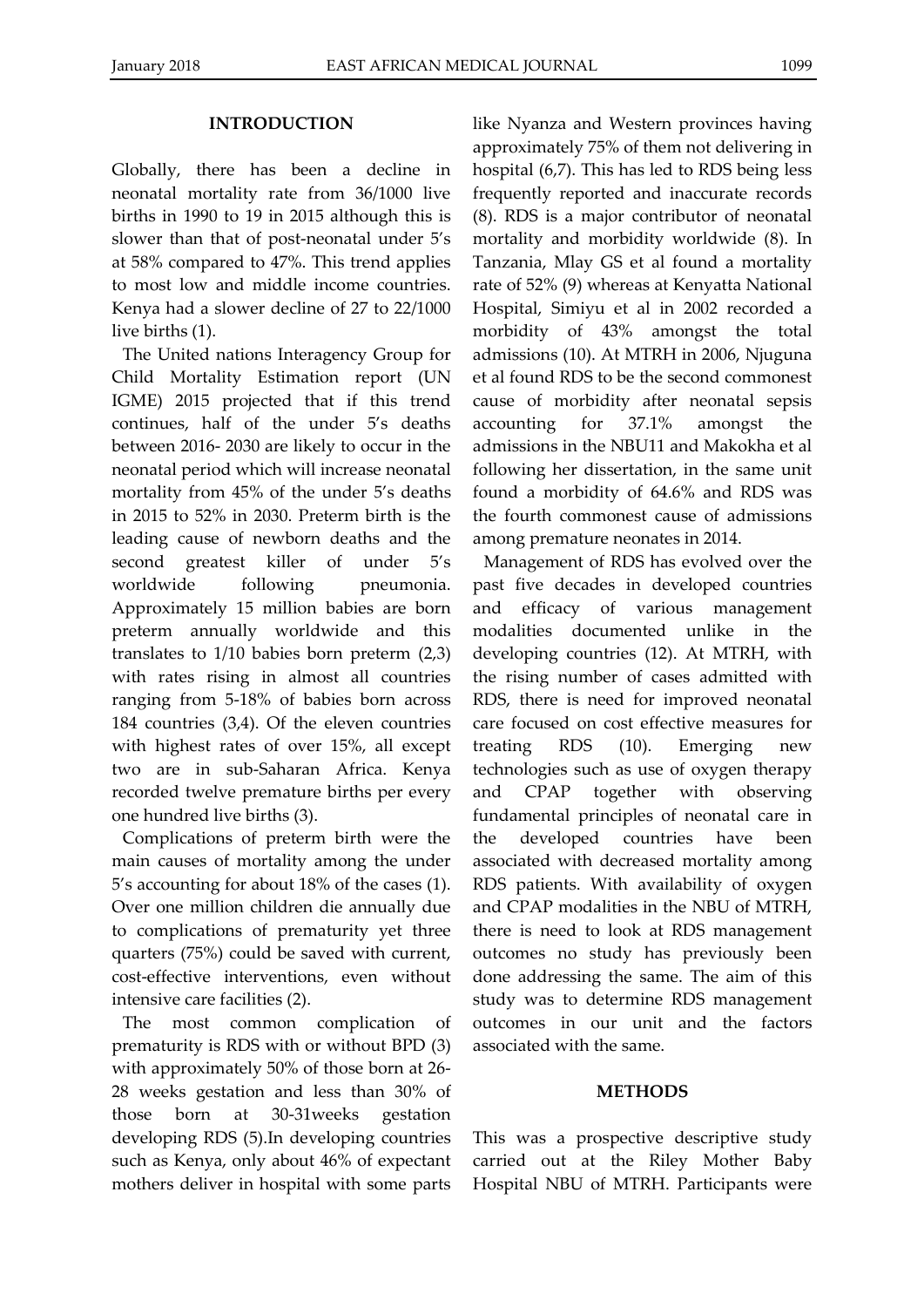#### **INTRODUCTION**

Globally, there has been a decline in neonatal mortality rate from 36/1000 live births in 1990 to 19 in 2015 although this is slower than that of post-neonatal under 5's at 58% compared to 47%. This trend applies to most low and middle income countries. Kenya had a slower decline of 27 to 22/1000 live births (1).

The United nations Interagency Group for Child Mortality Estimation report (UN IGME) 2015 projected that if this trend continues, half of the under 5's deaths between 2016- 2030 are likely to occur in the neonatal period which will increase neonatal mortality from 45% of the under 5's deaths in 2015 to 52% in 2030. Preterm birth is the leading cause of newborn deaths and the second greatest killer of under 5's worldwide following pneumonia. Approximately 15 million babies are born preterm annually worldwide and this translates to 1/10 babies born preterm (2,3) with rates rising in almost all countries ranging from 5-18% of babies born across 184 countries (3,4). Of the eleven countries with highest rates of over 15%, all except two are in sub-Saharan Africa. Kenya recorded twelve premature births per every one hundred live births (3).

Complications of preterm birth were the main causes of mortality among the under 5's accounting for about 18% of the cases (1). Over one million children die annually due to complications of prematurity yet three quarters (75%) could be saved with current, cost-effective interventions, even without intensive care facilities (2).

The most common complication of prematurity is RDS with or without BPD (3) with approximately 50% of those born at 26- 28 weeks gestation and less than 30% of those born at 30-31weeks gestation developing RDS (5).In developing countries such as Kenya, only about 46% of expectant mothers deliver in hospital with some parts like Nyanza and Western provinces having approximately 75% of them not delivering in hospital (6,7). This has led to RDS being less frequently reported and inaccurate records (8). RDS is a major contributor of neonatal mortality and morbidity worldwide (8). In Tanzania, Mlay GS et al found a mortality rate of 52% (9) whereas at Kenyatta National Hospital, Simiyu et al in 2002 recorded a morbidity of 43% amongst the total admissions (10). At MTRH in 2006, Njuguna et al found RDS to be the second commonest cause of morbidity after neonatal sepsis accounting for 37.1% amongst the admissions in the NBU11 and Makokha et al following her dissertation, in the same unit found a morbidity of 64.6% and RDS was the fourth commonest cause of admissions among premature neonates in 2014.

Management of RDS has evolved over the past five decades in developed countries and efficacy of various management modalities documented unlike in the developing countries (12). At MTRH, with the rising number of cases admitted with RDS, there is need for improved neonatal care focused on cost effective measures for treating RDS (10). Emerging new technologies such as use of oxygen therapy and CPAP together with observing fundamental principles of neonatal care in the developed countries have been associated with decreased mortality among RDS patients. With availability of oxygen and CPAP modalities in the NBU of MTRH, there is need to look at RDS management outcomes no study has previously been done addressing the same. The aim of this study was to determine RDS management outcomes in our unit and the factors associated with the same.

#### **METHODS**

This was a prospective descriptive study carried out at the Riley Mother Baby Hospital NBU of MTRH. Participants were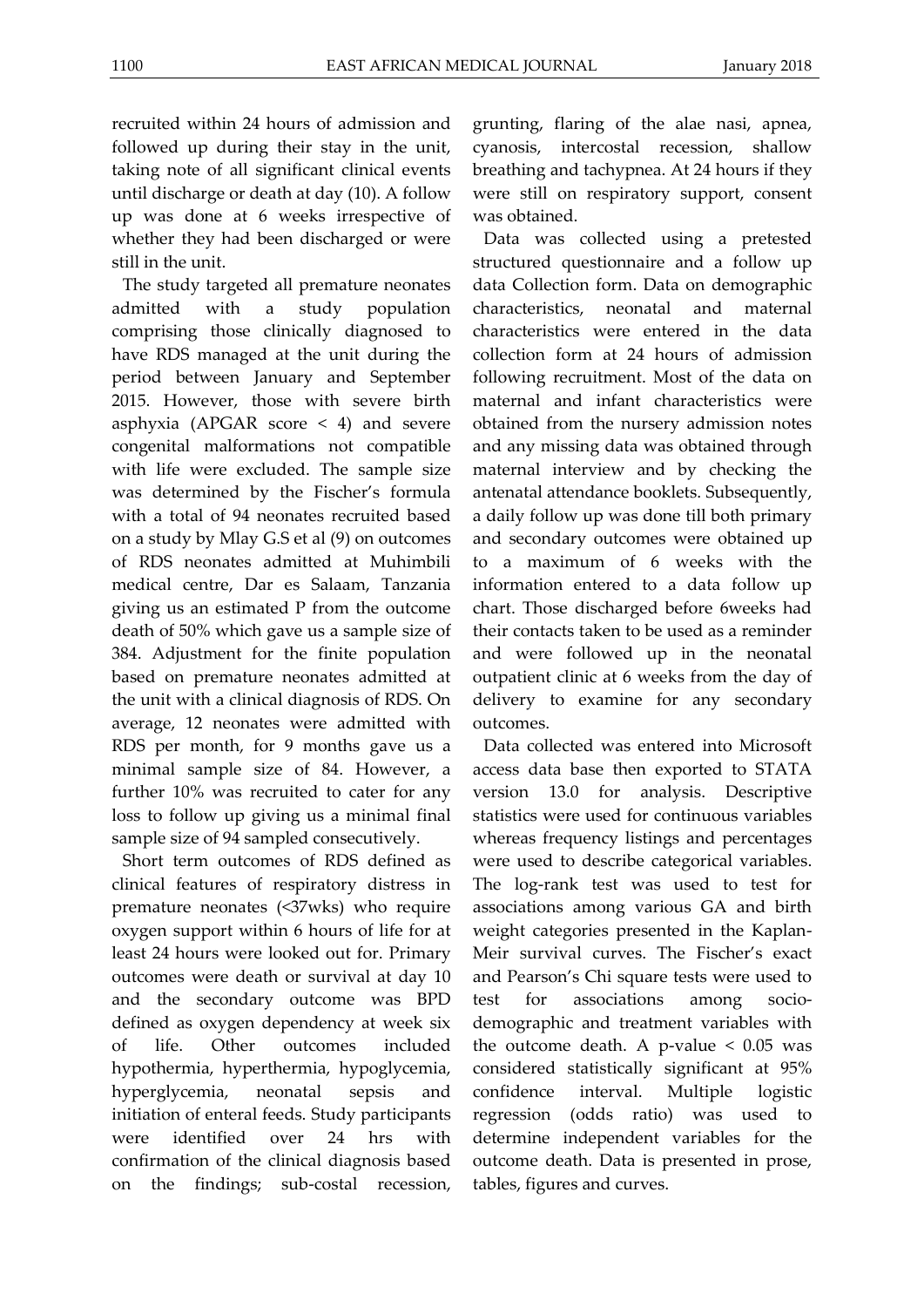recruited within 24 hours of admission and followed up during their stay in the unit, taking note of all significant clinical events until discharge or death at day (10). A follow up was done at 6 weeks irrespective of whether they had been discharged or were still in the unit.

The study targeted all premature neonates admitted with a study population comprising those clinically diagnosed to have RDS managed at the unit during the period between January and September 2015. However, those with severe birth asphyxia (APGAR score  $\leq$  4) and severe congenital malformations not compatible with life were excluded. The sample size was determined by the Fischer's formula with a total of 94 neonates recruited based on a study by Mlay G.S et al (9) on outcomes of RDS neonates admitted at Muhimbili medical centre, Dar es Salaam, Tanzania giving us an estimated P from the outcome death of 50% which gave us a sample size of 384. Adjustment for the finite population based on premature neonates admitted at the unit with a clinical diagnosis of RDS. On average, 12 neonates were admitted with RDS per month, for 9 months gave us a minimal sample size of 84. However, a further 10% was recruited to cater for any loss to follow up giving us a minimal final sample size of 94 sampled consecutively.

Short term outcomes of RDS defined as clinical features of respiratory distress in premature neonates (<37wks) who require oxygen support within 6 hours of life for at least 24 hours were looked out for. Primary outcomes were death or survival at day 10 and the secondary outcome was BPD defined as oxygen dependency at week six of life. Other outcomes included hypothermia, hyperthermia, hypoglycemia, hyperglycemia, neonatal sepsis and initiation of enteral feeds. Study participants were identified over 24 hrs with confirmation of the clinical diagnosis based on the findings; sub-costal recession,

grunting, flaring of the alae nasi, apnea, cyanosis, intercostal recession, shallow breathing and tachypnea. At 24 hours if they were still on respiratory support, consent was obtained.

Data was collected using a pretested structured questionnaire and a follow up data Collection form. Data on demographic characteristics, neonatal and maternal characteristics were entered in the data collection form at 24 hours of admission following recruitment. Most of the data on maternal and infant characteristics were obtained from the nursery admission notes and any missing data was obtained through maternal interview and by checking the antenatal attendance booklets. Subsequently, a daily follow up was done till both primary and secondary outcomes were obtained up to a maximum of 6 weeks with the information entered to a data follow up chart. Those discharged before 6weeks had their contacts taken to be used as a reminder and were followed up in the neonatal outpatient clinic at 6 weeks from the day of delivery to examine for any secondary outcomes.

Data collected was entered into Microsoft access data base then exported to STATA version 13.0 for analysis. Descriptive statistics were used for continuous variables whereas frequency listings and percentages were used to describe categorical variables. The log-rank test was used to test for associations among various GA and birth weight categories presented in the Kaplan-Meir survival curves. The Fischer's exact and Pearson's Chi square tests were used to test for associations among sociodemographic and treatment variables with the outcome death. A p-value  $< 0.05$  was considered statistically significant at 95% confidence interval. Multiple logistic regression (odds ratio) was used to determine independent variables for the outcome death. Data is presented in prose, tables, figures and curves.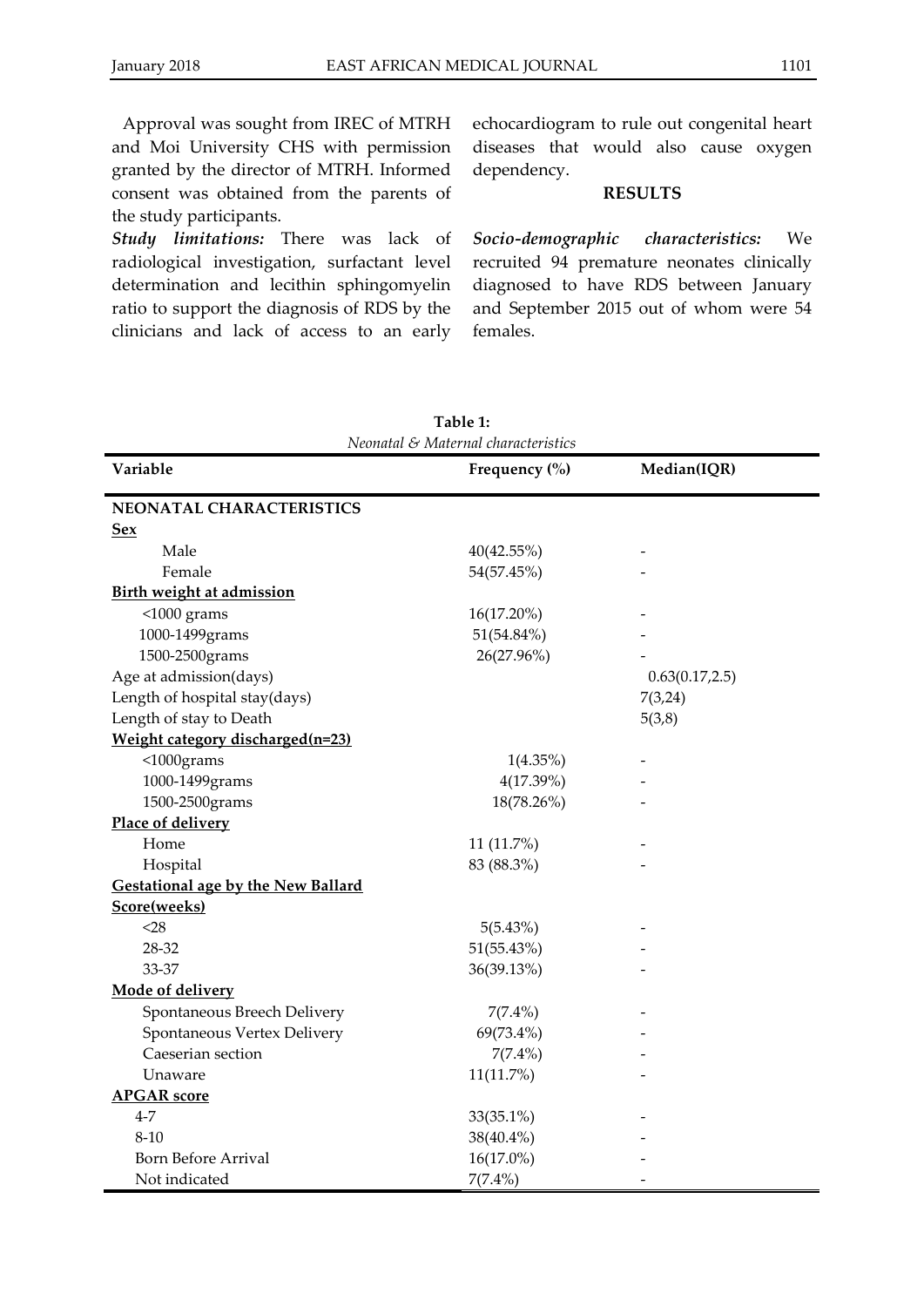Approval was sought from IREC of MTRH and Moi University CHS with permission granted by the director of MTRH. Informed consent was obtained from the parents of the study participants.

*Study limitations:* There was lack of radiological investigation, surfactant level determination and lecithin sphingomyelin ratio to support the diagnosis of RDS by the clinicians and lack of access to an early

echocardiogram to rule out congenital heart diseases that would also cause oxygen dependency.

#### **RESULTS**

*Socio-demographic characteristics:* We recruited 94 premature neonates clinically diagnosed to have RDS between January and September 2015 out of whom were 54 females.

| Neonatal & Maternal characteristics       |                   |                 |  |  |  |
|-------------------------------------------|-------------------|-----------------|--|--|--|
| Variable                                  | Frequency $(\% )$ | Median(IQR)     |  |  |  |
| NEONATAL CHARACTERISTICS                  |                   |                 |  |  |  |
| <b>Sex</b>                                |                   |                 |  |  |  |
| Male                                      | 40(42.55%)        |                 |  |  |  |
| Female                                    | 54(57.45%)        |                 |  |  |  |
| <b>Birth weight at admission</b>          |                   |                 |  |  |  |
| $<$ 1000 grams                            | 16(17.20%)        |                 |  |  |  |
| 1000-1499grams                            | 51(54.84%)        |                 |  |  |  |
| 1500-2500grams                            | 26(27.96%)        |                 |  |  |  |
| Age at admission(days)                    |                   | 0.63(0.17, 2.5) |  |  |  |
| Length of hospital stay(days)             |                   | 7(3,24)         |  |  |  |
| Length of stay to Death                   |                   | 5(3,8)          |  |  |  |
| Weight category discharged(n=23)          |                   |                 |  |  |  |
| $<$ 1000grams                             | $1(4.35\%)$       |                 |  |  |  |
| 1000-1499grams                            | 4(17.39%)         |                 |  |  |  |
| 1500-2500grams                            | 18(78.26%)        |                 |  |  |  |
| Place of delivery                         |                   |                 |  |  |  |
| Home                                      | 11 (11.7%)        |                 |  |  |  |
| Hospital                                  | 83 (88.3%)        |                 |  |  |  |
| <b>Gestational age by the New Ballard</b> |                   |                 |  |  |  |
| Score(weeks)                              |                   |                 |  |  |  |
| $<$ 28                                    | 5(5.43%)          |                 |  |  |  |
| 28-32                                     | 51(55.43%)        |                 |  |  |  |
| 33-37                                     | 36(39.13%)        |                 |  |  |  |
| Mode of delivery                          |                   |                 |  |  |  |
| Spontaneous Breech Delivery               | $7(7.4\%)$        |                 |  |  |  |
| Spontaneous Vertex Delivery               | 69(73.4%)         |                 |  |  |  |
| Caeserian section                         | $7(7.4\%)$        |                 |  |  |  |
| Unaware                                   | $11(11.7\%)$      |                 |  |  |  |
| <b>APGAR</b> score                        |                   |                 |  |  |  |
| $4 - 7$                                   | $33(35.1\%)$      |                 |  |  |  |
| $8 - 10$                                  | 38(40.4%)         |                 |  |  |  |
| <b>Born Before Arrival</b>                | 16(17.0%)         |                 |  |  |  |
| Not indicated                             | $7(7.4\%)$        |                 |  |  |  |

**Table 1:**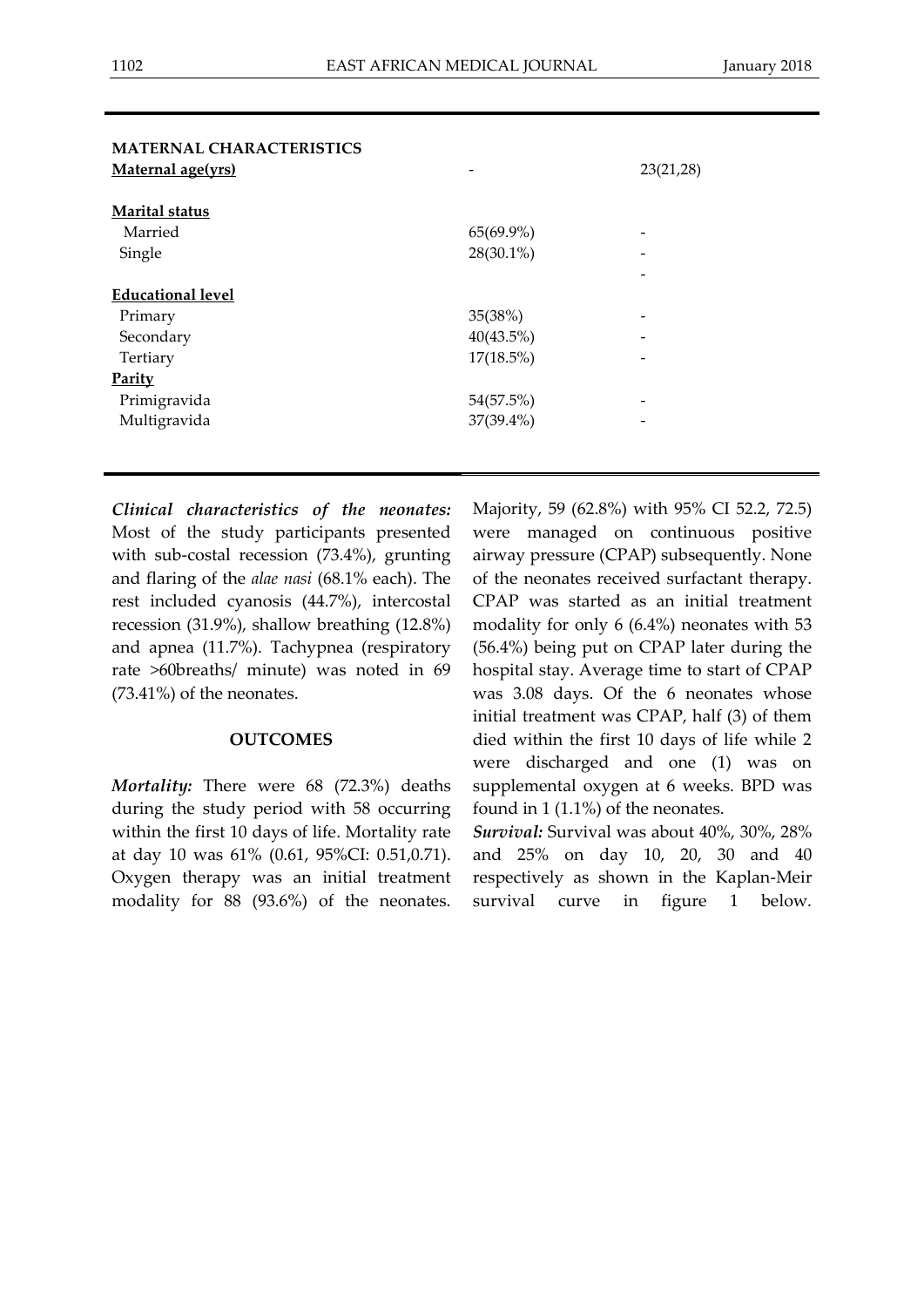| <b>MATERNAL CHARACTERISTICS</b><br>Maternal age(yrs) |              | 23(21,28) |
|------------------------------------------------------|--------------|-----------|
|                                                      |              |           |
| Marital status                                       |              |           |
| Married                                              | 65(69.9%)    |           |
| Single                                               | 28(30.1%)    |           |
|                                                      |              |           |
| <b>Educational level</b>                             |              |           |
| Primary                                              | 35(38%)      |           |
| Secondary                                            | 40(43.5%)    |           |
| Tertiary                                             | $17(18.5\%)$ |           |
| Parity                                               |              |           |
| Primigravida                                         | 54(57.5%)    |           |
| Multigravida                                         | 37(39.4%)    |           |
|                                                      |              |           |

*Clinical characteristics of the neonates:* Most of the study participants presented with sub-costal recession (73.4%), grunting and flaring of the *alae nasi* (68.1% each). The rest included cyanosis (44.7%), intercostal recession (31.9%), shallow breathing (12.8%) and apnea (11.7%). Tachypnea (respiratory rate >60breaths/ minute) was noted in 69 (73.41%) of the neonates.

#### **OUTCOMES**

*Mortality:* There were 68 (72.3%) deaths during the study period with 58 occurring within the first 10 days of life. Mortality rate at day 10 was 61% (0.61, 95%CI: 0.51,0.71). Oxygen therapy was an initial treatment modality for 88 (93.6%) of the neonates.

Majority, 59 (62.8%) with 95% CI 52.2, 72.5) were managed on continuous positive airway pressure (CPAP) subsequently. None of the neonates received surfactant therapy. CPAP was started as an initial treatment modality for only 6 (6.4%) neonates with 53 (56.4%) being put on CPAP later during the hospital stay. Average time to start of CPAP was 3.08 days. Of the 6 neonates whose initial treatment was CPAP, half (3) of them died within the first 10 days of life while 2 were discharged and one (1) was on supplemental oxygen at 6 weeks. BPD was found in 1 (1.1%) of the neonates.

*Survival:* Survival was about 40%, 30%, 28% and 25% on day 10, 20, 30 and 40 respectively as shown in the Kaplan-Meir survival curve in figure 1 below.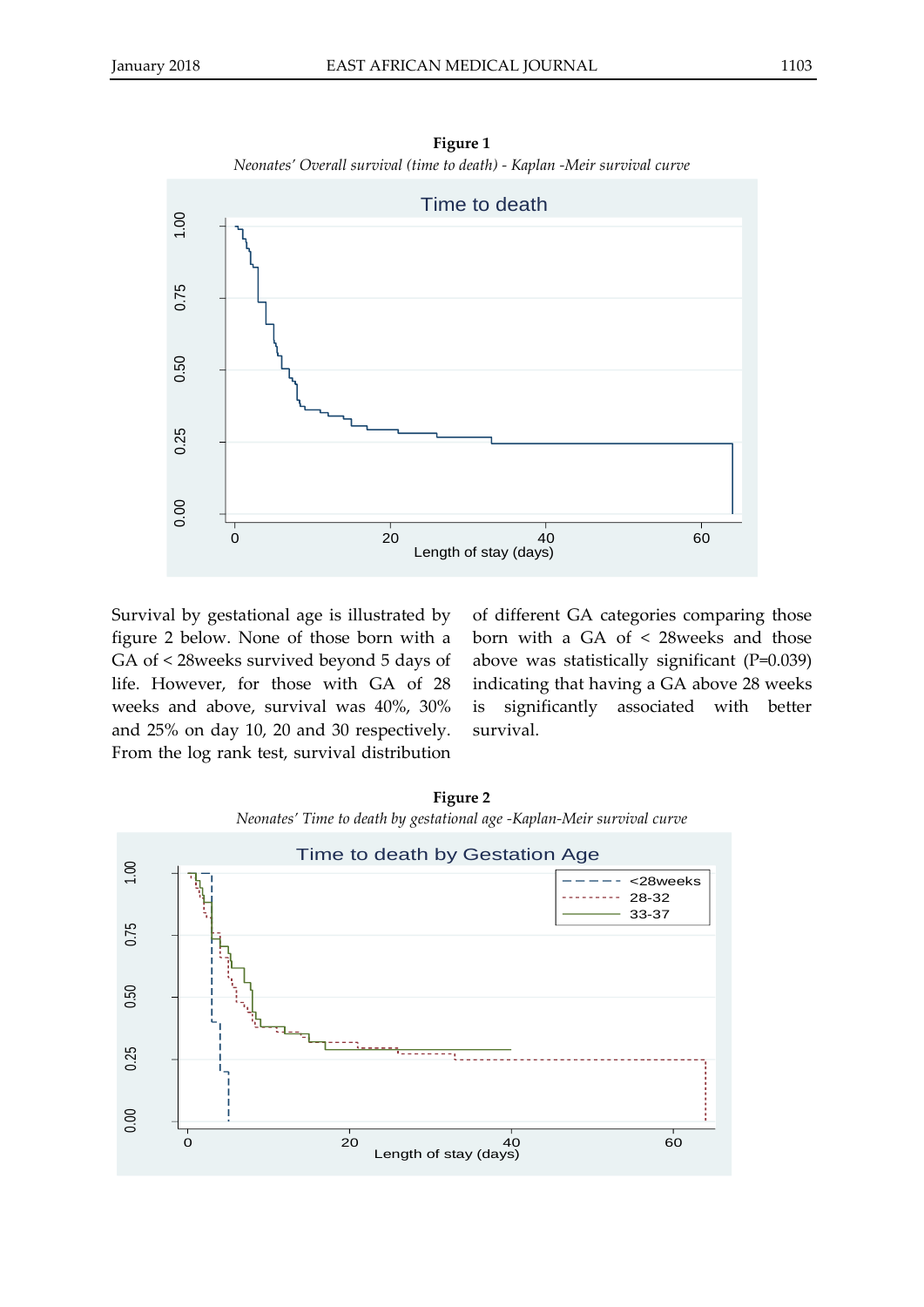

**Figure 1** *Neonates' Overall survival (time to death) - Kaplan -Meir survival curve*

Survival by gestational age is illustrated by figure 2 below. None of those born with a GA of < 28weeks survived beyond 5 days of life. However, for those with GA of 28 weeks and above, survival was 40%, 30% and 25% on day 10, 20 and 30 respectively. From the log rank test, survival distribution

of different GA categories comparing those born with a GA of < 28weeks and those above was statistically significant (P=0.039) indicating that having a GA above 28 weeks is significantly associated with better survival.



**Figure 2**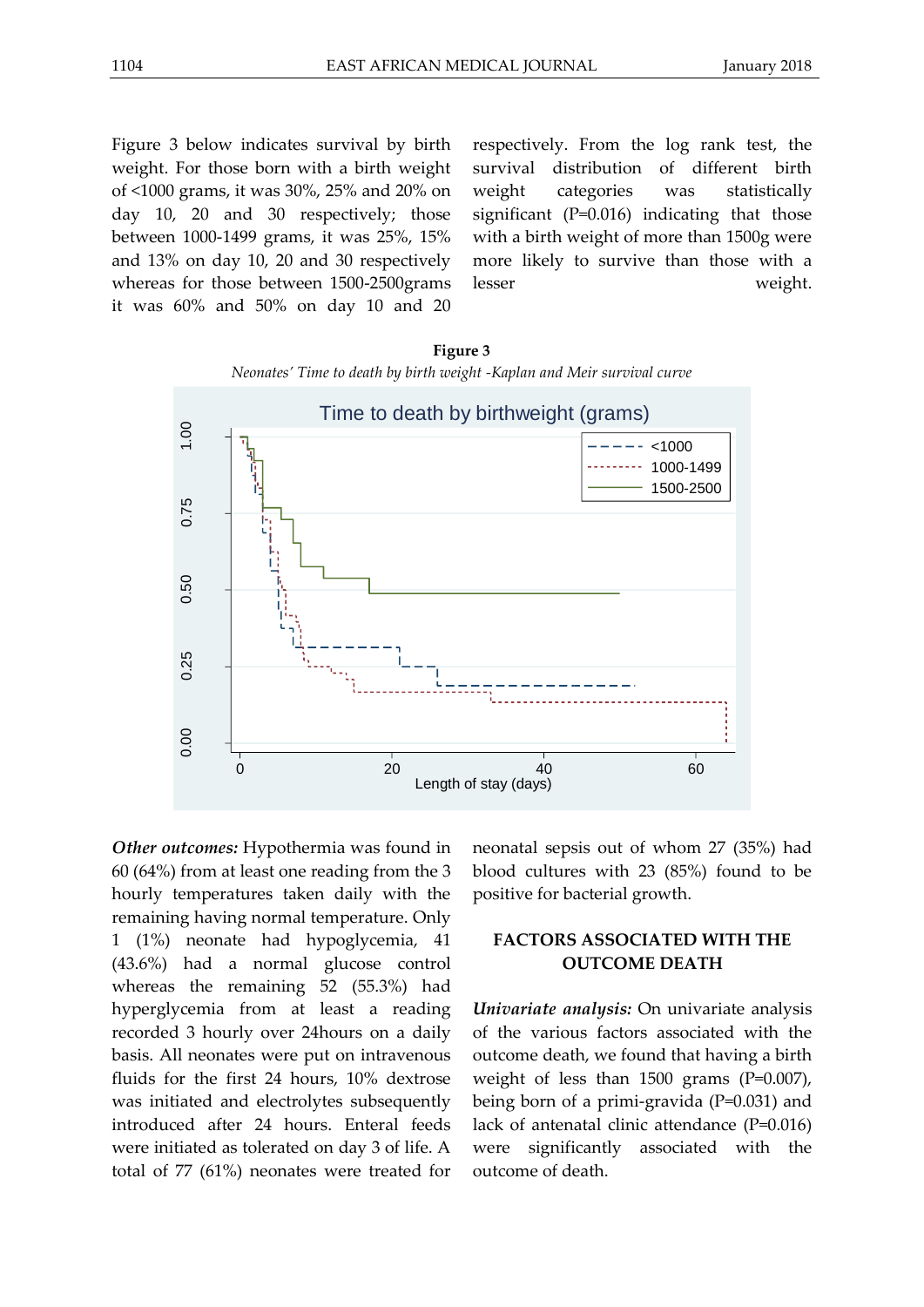Figure 3 below indicates survival by birth weight. For those born with a birth weight of <1000 grams, it was 30%, 25% and 20% on day 10, 20 and 30 respectively; those between 1000-1499 grams, it was 25%, 15% and 13% on day 10, 20 and 30 respectively whereas for those between 1500-2500grams it was 60% and 50% on day 10 and 20

respectively. From the log rank test, the survival distribution of different birth weight categories was statistically significant (P=0.016) indicating that those with a birth weight of more than 1500g were more likely to survive than those with a lesser weight.

**Figure 3** *Neonates' Time to death by birth weight -Kaplan and Meir survival curve*



*Other outcomes:* Hypothermia was found in 60 (64%) from at least one reading from the 3 hourly temperatures taken daily with the remaining having normal temperature. Only 1 (1%) neonate had hypoglycemia, 41 (43.6%) had a normal glucose control whereas the remaining 52 (55.3%) had hyperglycemia from at least a reading recorded 3 hourly over 24hours on a daily basis. All neonates were put on intravenous fluids for the first 24 hours, 10% dextrose was initiated and electrolytes subsequently introduced after 24 hours. Enteral feeds were initiated as tolerated on day 3 of life. A total of 77 (61%) neonates were treated for

neonatal sepsis out of whom 27 (35%) had blood cultures with 23 (85%) found to be positive for bacterial growth.

## **FACTORS ASSOCIATED WITH THE OUTCOME DEATH**

*Univariate analysis:* On univariate analysis of the various factors associated with the outcome death, we found that having a birth weight of less than  $1500$  grams (P=0.007), being born of a primi-gravida (P=0.031) and lack of antenatal clinic attendance (P=0.016) were significantly associated with the outcome of death.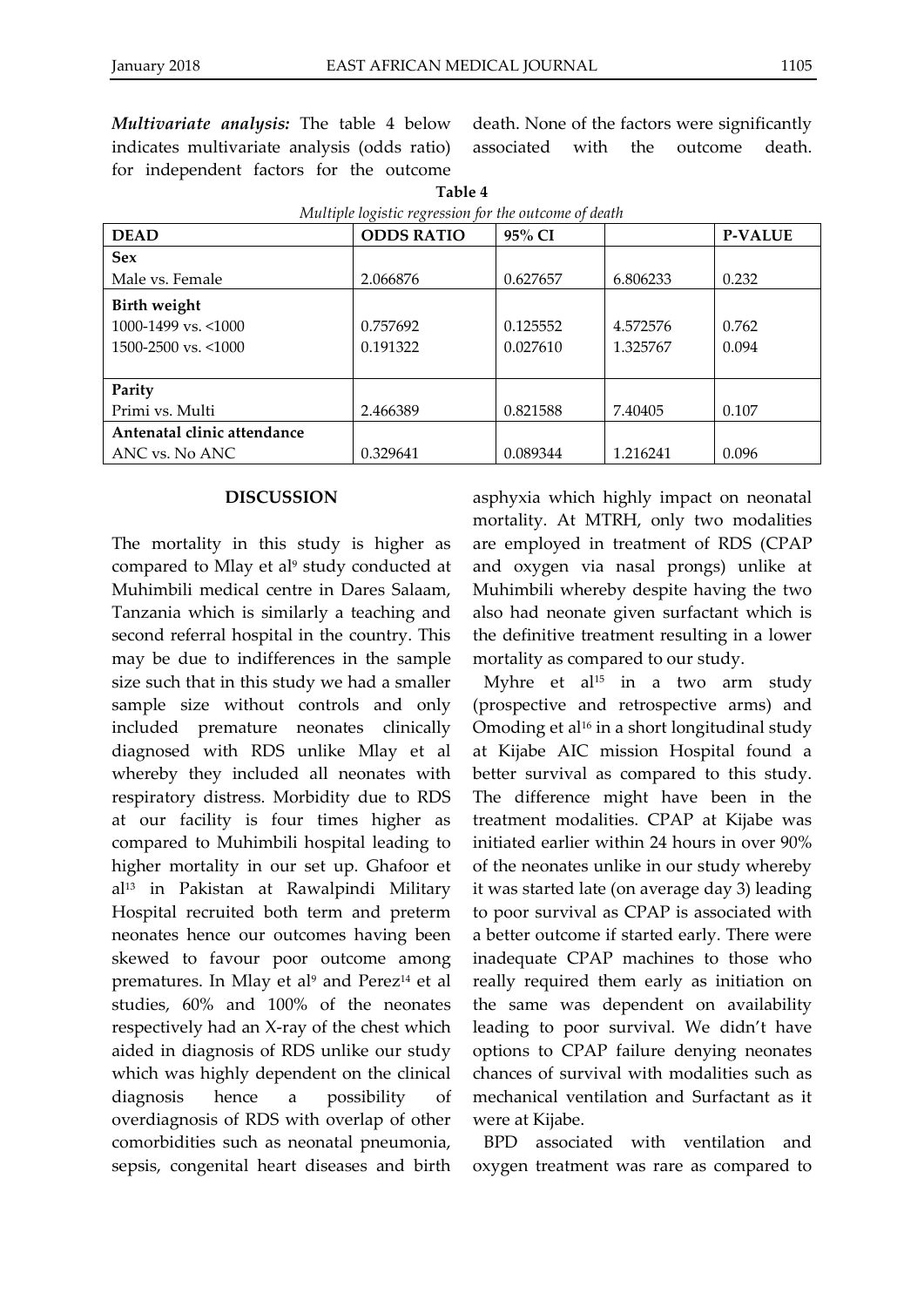*Multivariate analysis:* The table 4 below indicates multivariate analysis (odds ratio) for independent factors for the outcome

| Multiple logistic regression for the outcome of death                                 |                      |                      |                      |                |  |  |
|---------------------------------------------------------------------------------------|----------------------|----------------------|----------------------|----------------|--|--|
| <b>DEAD</b>                                                                           | <b>ODDS RATIO</b>    | 95% CI               |                      | <b>P-VALUE</b> |  |  |
| <b>Sex</b>                                                                            |                      |                      |                      |                |  |  |
| Male vs. Female                                                                       | 2.066876             | 0.627657             | 6.806233             | 0.232          |  |  |
| <b>Birth weight</b><br>$1000 - 1499$ vs. $\leq 1000$<br>$1500 - 2500$ vs. $\leq 1000$ | 0.757692<br>0.191322 | 0.125552<br>0.027610 | 4.572576<br>1.325767 | 0.762<br>0.094 |  |  |
| Parity<br>Primi vs. Multi                                                             | 2.466389             | 0.821588             | 7.40405              | 0.107          |  |  |
| Antenatal clinic attendance                                                           |                      |                      |                      |                |  |  |
| ANC vs. No ANC                                                                        | 0.329641             | 0.089344             | 1.216241             | 0.096          |  |  |

**Table 4**

#### **DISCUSSION**

The mortality in this study is higher as compared to Mlay et al<sup>9</sup> study conducted at Muhimbili medical centre in Dares Salaam, Tanzania which is similarly a teaching and second referral hospital in the country. This may be due to indifferences in the sample size such that in this study we had a smaller sample size without controls and only included premature neonates clinically diagnosed with RDS unlike Mlay et al whereby they included all neonates with respiratory distress. Morbidity due to RDS at our facility is four times higher as compared to Muhimbili hospital leading to higher mortality in our set up. Ghafoor et al<sup>13</sup> in Pakistan at Rawalpindi Military Hospital recruited both term and preterm neonates hence our outcomes having been skewed to favour poor outcome among prematures. In Mlay et al<sup>9</sup> and Perez<sup>14</sup> et al studies, 60% and 100% of the neonates respectively had an X-ray of the chest which aided in diagnosis of RDS unlike our study which was highly dependent on the clinical diagnosis hence a possibility of overdiagnosis of RDS with overlap of other comorbidities such as neonatal pneumonia, sepsis, congenital heart diseases and birth

asphyxia which highly impact on neonatal mortality. At MTRH, only two modalities are employed in treatment of RDS (CPAP and oxygen via nasal prongs) unlike at Muhimbili whereby despite having the two also had neonate given surfactant which is the definitive treatment resulting in a lower mortality as compared to our study.

death. None of the factors were significantly associated with the outcome death.

Myhre et al<sup>15</sup> in a two arm study (prospective and retrospective arms) and Omoding et al<sup>16</sup> in a short longitudinal study at Kijabe AIC mission Hospital found a better survival as compared to this study. The difference might have been in the treatment modalities. CPAP at Kijabe was initiated earlier within 24 hours in over 90% of the neonates unlike in our study whereby it was started late (on average day 3) leading to poor survival as CPAP is associated with a better outcome if started early. There were inadequate CPAP machines to those who really required them early as initiation on the same was dependent on availability leading to poor survival. We didn't have options to CPAP failure denying neonates chances of survival with modalities such as mechanical ventilation and Surfactant as it were at Kijabe.

BPD associated with ventilation and oxygen treatment was rare as compared to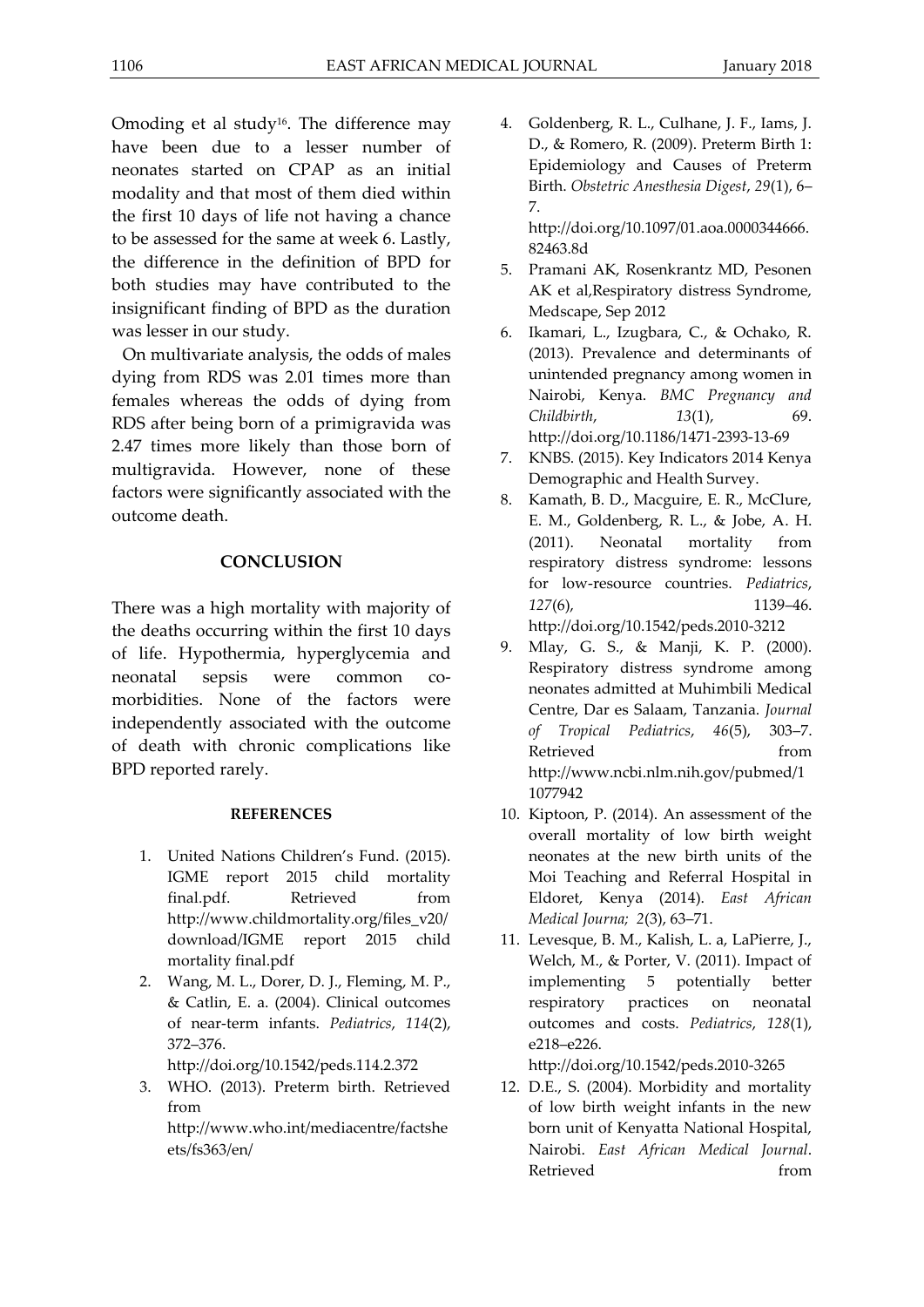Omoding et al study<sup>16</sup>. The difference may have been due to a lesser number of neonates started on CPAP as an initial modality and that most of them died within the first 10 days of life not having a chance to be assessed for the same at week 6. Lastly, the difference in the definition of BPD for both studies may have contributed to the insignificant finding of BPD as the duration was lesser in our study.

On multivariate analysis, the odds of males dying from RDS was 2.01 times more than females whereas the odds of dying from RDS after being born of a primigravida was 2.47 times more likely than those born of multigravida. However, none of these factors were significantly associated with the outcome death.

## **CONCLUSION**

There was a high mortality with majority of the deaths occurring within the first 10 days of life. Hypothermia, hyperglycemia and neonatal sepsis were common comorbidities. None of the factors were independently associated with the outcome of death with chronic complications like BPD reported rarely.

### **REFERENCES**

- 1. United Nations Children's Fund. (2015). IGME report 2015 child mortality final.pdf. Retrieved from http://www.childmortality.org/files\_v20/ download/IGME report 2015 child mortality final.pdf
- 2. Wang, M. L., Dorer, D. J., Fleming, M. P., & Catlin, E. a. (2004). Clinical outcomes of near-term infants. *Pediatrics*, *114*(2), 372–376.

http://doi.org/10.1542/peds.114.2.372

3. WHO. (2013). Preterm birth. Retrieved from http://www.who.int/mediacentre/factshe

ets/fs363/en/

4. Goldenberg, R. L., Culhane, J. F., Iams, J. D., & Romero, R. (2009). Preterm Birth 1: Epidemiology and Causes of Preterm Birth. *Obstetric Anesthesia Digest*, *29*(1), 6– 7.

http://doi.org/10.1097/01.aoa.0000344666. 82463.8d

- 5. Pramani AK, Rosenkrantz MD, Pesonen AK et al,Respiratory distress Syndrome, Medscape, Sep 2012
- 6. Ikamari, L., Izugbara, C., & Ochako, R. (2013). Prevalence and determinants of unintended pregnancy among women in Nairobi, Kenya. *BMC Pregnancy and Childbirth*, *13*(1), 69. http://doi.org/10.1186/1471-2393-13-69
- 7. KNBS. (2015). Key Indicators 2014 Kenya Demographic and Health Survey.
- 8. Kamath, B. D., Macguire, E. R., McClure, E. M., Goldenberg, R. L., & Jobe, A. H. (2011). Neonatal mortality from respiratory distress syndrome: lessons for low-resource countries. *Pediatrics*, *127*(6), 1139–46. http://doi.org/10.1542/peds.2010-3212
- 9. Mlay, G. S., & Manji, K. P. (2000). Respiratory distress syndrome among neonates admitted at Muhimbili Medical Centre, Dar es Salaam, Tanzania. *Journal of Tropical Pediatrics*, *46*(5), 303–7. Retrieved from http://www.ncbi.nlm.nih.gov/pubmed/1 1077942
- 10. Kiptoon, P. (2014). An assessment of the overall mortality of low birth weight neonates at the new birth units of the Moi Teaching and Referral Hospital in Eldoret, Kenya (2014). *East African Medical Journa; 2*(3), 63–71.
- 11. Levesque, B. M., Kalish, L. a, LaPierre, J., Welch, M., & Porter, V. (2011). Impact of implementing 5 potentially better respiratory practices on neonatal outcomes and costs. *Pediatrics*, *128*(1), e218–e226.

http://doi.org/10.1542/peds.2010-3265

12. D.E., S. (2004). Morbidity and mortality of low birth weight infants in the new born unit of Kenyatta National Hospital, Nairobi. *East African Medical Journal*. Retrieved from